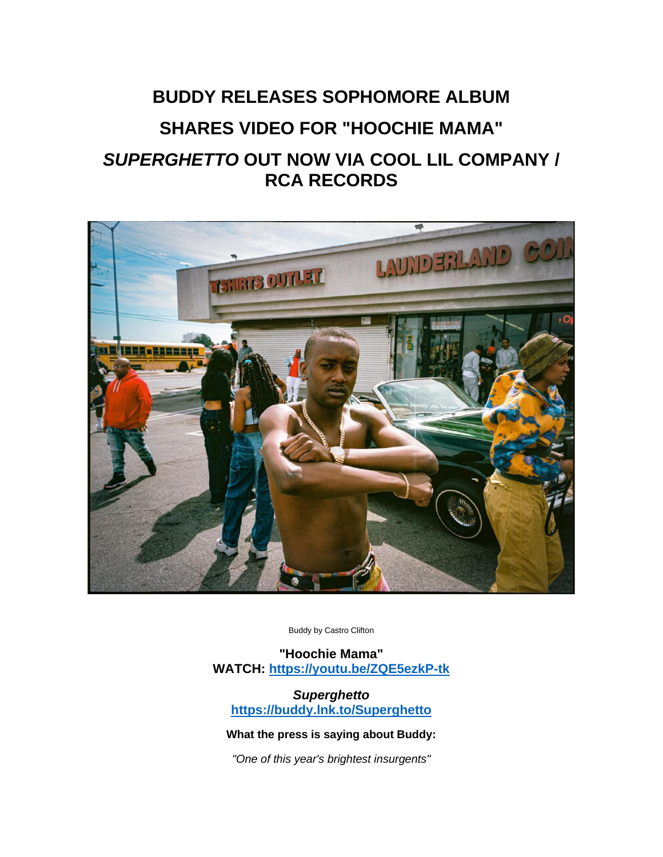# **BUDDY RELEASES SOPHOMORE ALBUM SHARES VIDEO FOR "HOOCHIE MAMA"** *SUPERGHETTO* **OUT NOW VIA COOL LIL COMPANY / RCA RECORDS**



Buddy by Castro Clifton

**"Hoochie Mama" WATCH: [https://youtu.be/ZQE5ezkP-tk](https://eur01.safelinks.protection.outlook.com/?url=https%3A%2F%2Fyoutu.be%2FZQE5ezkP-tk&data=04%7C01%7Cnoelle.janasiewicz.sme%40sonymusic.com%7C38910d7c91df4f66017308da0e7a6fab%7Cf0aff3b791a54aaeaf71c63e1dda2049%7C0%7C0%7C637838216259000077%7CUnknown%7CTWFpbGZsb3d8eyJWIjoiMC4wLjAwMDAiLCJQIjoiV2luMzIiLCJBTiI6Ik1haWwiLCJXVCI6Mn0%3D%7C3000&sdata=j70XIoo5rAtXHRkbo8vM%2F7pMbWyB4hHzoFLtRzWMidg%3D&reserved=0)**

*Superghetto* **[https://buddy.lnk.to/Superghetto](https://eur01.safelinks.protection.outlook.com/?url=https%3A%2F%2Fbuddy.lnk.to%2FSuperghetto&data=04%7C01%7Cnoelle.janasiewicz.sme%40sonymusic.com%7C38910d7c91df4f66017308da0e7a6fab%7Cf0aff3b791a54aaeaf71c63e1dda2049%7C0%7C0%7C637838216259000077%7CUnknown%7CTWFpbGZsb3d8eyJWIjoiMC4wLjAwMDAiLCJQIjoiV2luMzIiLCJBTiI6Ik1haWwiLCJXVCI6Mn0%3D%7C3000&sdata=xfAKnBMfYSnpZBr5mRuY%2FyWL4LgdHqFov1WvVCX1EMQ%3D&reserved=0)**

**What the press is saying about Buddy:**

*"One of this year's brightest insurgents"*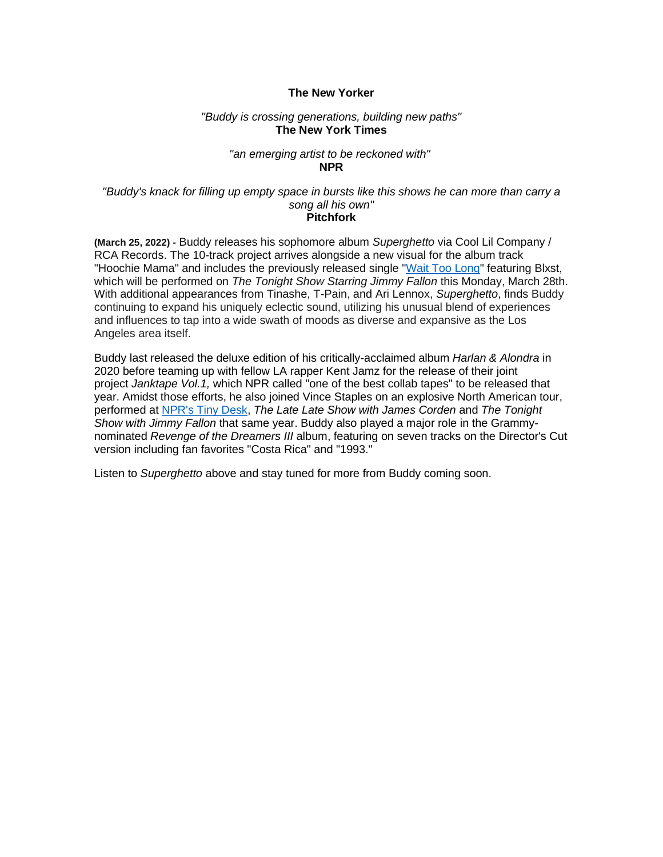## **The New Yorker**

#### *"Buddy is crossing generations, building new paths"* **The New York Times**

### *"an emerging artist to be reckoned with"* **NPR**

#### *"Buddy's knack for filling up empty space in bursts like this shows he can more than carry a song all his own"* **Pitchfork**

**(March 25, 2022) -** Buddy releases his sophomore album *Superghetto* via Cool Lil Company / RCA Records. The 10-track project arrives alongside a new visual for the album track "Hoochie Mama" and includes the previously released single ["Wait Too Long"](https://eur01.safelinks.protection.outlook.com/?url=https%3A%2F%2Ft.yesware.com%2Ftt%2F43184265a19f85371c74c0ef0c7d7310dfcbf65f%2F86aeb8c67e6137506129a386e3a44af2%2Fd092b1c2f21d7beb0f74c89227a73740%2Fyoutu.be%2F5ZMKhGmc3aY&data=04%7C01%7Cnoelle.janasiewicz.sme%40sonymusic.com%7C38910d7c91df4f66017308da0e7a6fab%7Cf0aff3b791a54aaeaf71c63e1dda2049%7C0%7C0%7C637838216259000077%7CUnknown%7CTWFpbGZsb3d8eyJWIjoiMC4wLjAwMDAiLCJQIjoiV2luMzIiLCJBTiI6Ik1haWwiLCJXVCI6Mn0%3D%7C3000&sdata=cQEr92Me5WO%2B16jPscO6hbuJh0AjumvHGb6g6Aimaj8%3D&reserved=0) featuring Blxst, which will be performed on *The Tonight Show Starring Jimmy Fallon* this Monday, March 28th. With additional appearances from Tinashe, T-Pain, and Ari Lennox, *Superghetto*, finds Buddy continuing to expand his uniquely eclectic sound, utilizing his unusual blend of experiences and influences to tap into a wide swath of moods as diverse and expansive as the Los Angeles area itself.

Buddy last released the deluxe edition of his critically-acclaimed album *Harlan & Alondra* in 2020 before teaming up with fellow LA rapper Kent Jamz for the release of their joint project *Janktape Vol.1,* which NPR called "one of the best collab tapes" to be released that year. Amidst those efforts, he also joined Vince Staples on an explosive North American tour, performed at [NPR's Tiny Desk,](https://eur01.safelinks.protection.outlook.com/?url=http%3A%2F%2Fr20.rs6.net%2Ftn.jsp%3Ff%3D001Y4sCNMrZYOHlIEfp8Yf4Z-eBeTTYios3Q-h9wWPOL86Am-2vWOcpv3NAME9MXdTqK6j_-hgcQ9-X3l_-aUmnIIezC1BHSDyw4rcv7u1LLseuq6gkEr2hdfSOEchH3ulJpgZbnubpV3178TVtNxMluyNfQ7h3nsZkXuHpniwfnCj8oYXur486t5gAUKXzuILn6NTgNgLRfsQ%3D%26c%3Da_N1LPGjSXmRSp6Hs5BzYxCg50MpQYdz7Nbpx2PMPZNH5mNTCQ84tQ%3D%3D%26ch%3D4Tnf5Oq6BS0Z4fhNlgLzVRTajuz4FFkgyDA0z7DdET18YdHRBI1LWQ%3D%3D&data=04%7C01%7Cnoelle.janasiewicz.sme%40sonymusic.com%7C38910d7c91df4f66017308da0e7a6fab%7Cf0aff3b791a54aaeaf71c63e1dda2049%7C0%7C0%7C637838216259000077%7CUnknown%7CTWFpbGZsb3d8eyJWIjoiMC4wLjAwMDAiLCJQIjoiV2luMzIiLCJBTiI6Ik1haWwiLCJXVCI6Mn0%3D%7C3000&sdata=6WDGiVtJ5eDoIg9aAPtcPeE1Bzh0JXXebTTcA%2FoI4Do%3D&reserved=0) *The Late Late Show with James Corden* and *The Tonight Show with Jimmy Fallon* that same year. Buddy also played a major role in the Grammynominated *Revenge of the Dreamers III* album, featuring on seven tracks on the Director's Cut version including fan favorites "Costa Rica" and "1993."

Listen to *Superghetto* above and stay tuned for more from Buddy coming soon.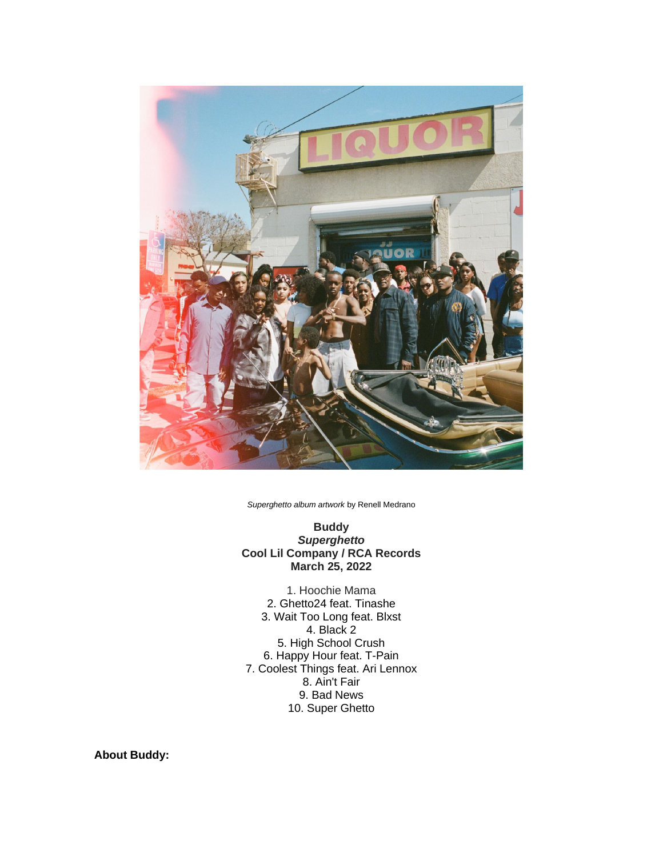

*Superghetto album artwork* by Renell Medrano

**Buddy** *Superghetto* **Cool Lil Company / RCA Records March 25, 2022**

1. Hoochie Mama 2. Ghetto24 feat. Tinashe 3. Wait Too Long feat. Blxst 4. Black 2 5. High School Crush 6. Happy Hour feat. T-Pain 7. Coolest Things feat. Ari Lennox 8. Ain't Fair 9. Bad News 10. Super Ghetto

**About Buddy:**